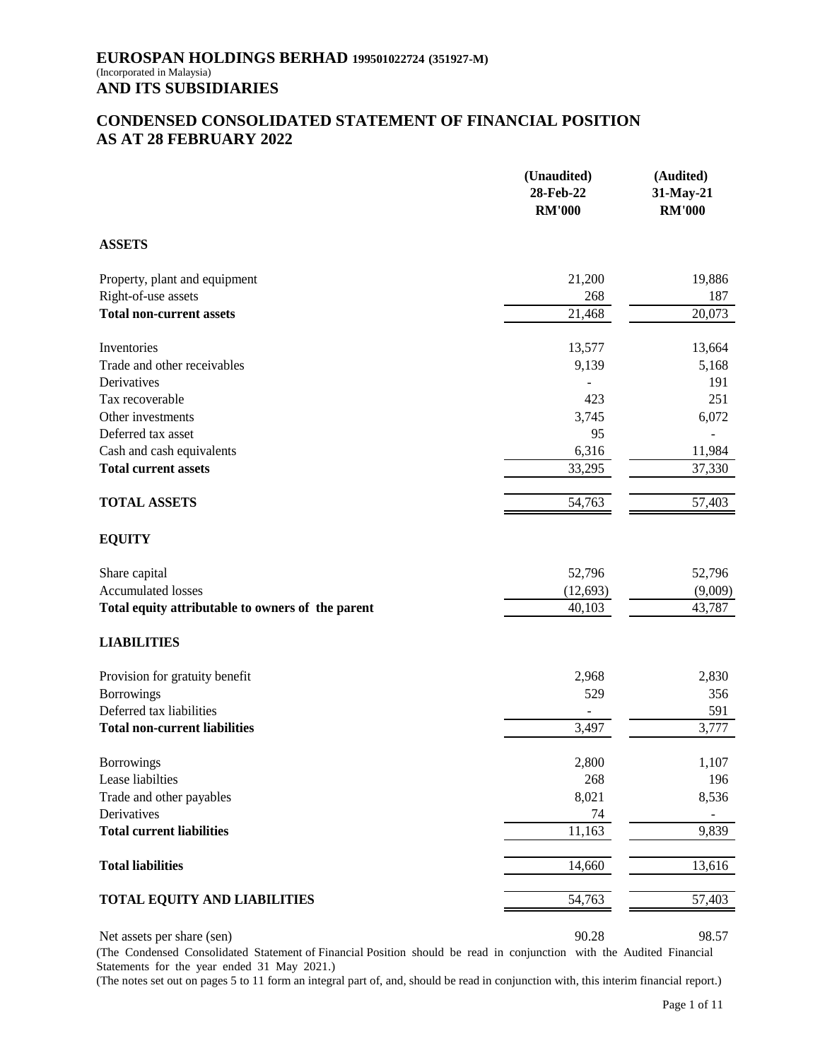# **CONDENSED CONSOLIDATED STATEMENT OF FINANCIAL POSITION AS AT 28 FEBRUARY 2022**

|                                                   | (Unaudited)<br>28-Feb-22<br><b>RM'000</b> | (Audited)<br>31-May-21<br><b>RM'000</b> |
|---------------------------------------------------|-------------------------------------------|-----------------------------------------|
| <b>ASSETS</b>                                     |                                           |                                         |
| Property, plant and equipment                     | 21,200                                    | 19,886                                  |
| Right-of-use assets                               | 268                                       | 187                                     |
| <b>Total non-current assets</b>                   | 21,468                                    | 20,073                                  |
| Inventories                                       | 13,577                                    | 13,664                                  |
| Trade and other receivables                       | 9,139                                     | 5,168                                   |
| Derivatives                                       |                                           | 191                                     |
| Tax recoverable                                   | 423                                       | 251                                     |
| Other investments                                 | 3,745                                     | 6,072                                   |
| Deferred tax asset                                | 95                                        |                                         |
| Cash and cash equivalents                         | 6,316                                     | 11,984                                  |
| <b>Total current assets</b>                       | 33,295                                    | 37,330                                  |
| <b>TOTAL ASSETS</b>                               | 54,763                                    | 57,403                                  |
| <b>EQUITY</b>                                     |                                           |                                         |
| Share capital                                     | 52,796                                    | 52,796                                  |
| Accumulated losses                                | (12, 693)                                 | (9,009)                                 |
| Total equity attributable to owners of the parent | 40,103                                    | 43,787                                  |
| <b>LIABILITIES</b>                                |                                           |                                         |
| Provision for gratuity benefit                    | 2,968                                     | 2,830                                   |
| <b>Borrowings</b>                                 | 529                                       | 356                                     |
| Deferred tax liabilities                          |                                           | 591                                     |
| <b>Total non-current liabilities</b>              | 3,497                                     | 3,777                                   |
| <b>Borrowings</b>                                 | 2,800                                     | 1,107                                   |
| Lease liabilties                                  | 268                                       | 196                                     |
| Trade and other payables                          | 8,021                                     | 8,536                                   |
| Derivatives                                       | 74                                        |                                         |
| <b>Total current liabilities</b>                  | 11,163                                    | 9,839                                   |
| <b>Total liabilities</b>                          | 14,660                                    | 13,616                                  |
| TOTAL EQUITY AND LIABILITIES                      | 54,763                                    | 57,403                                  |
| Net assets per share (sen)                        | 90.28                                     | 98.57                                   |

(The Condensed Consolidated Statement of Financial Position should be read in conjunction with the Audited Financial Statements for the year ended 31 May 2021.)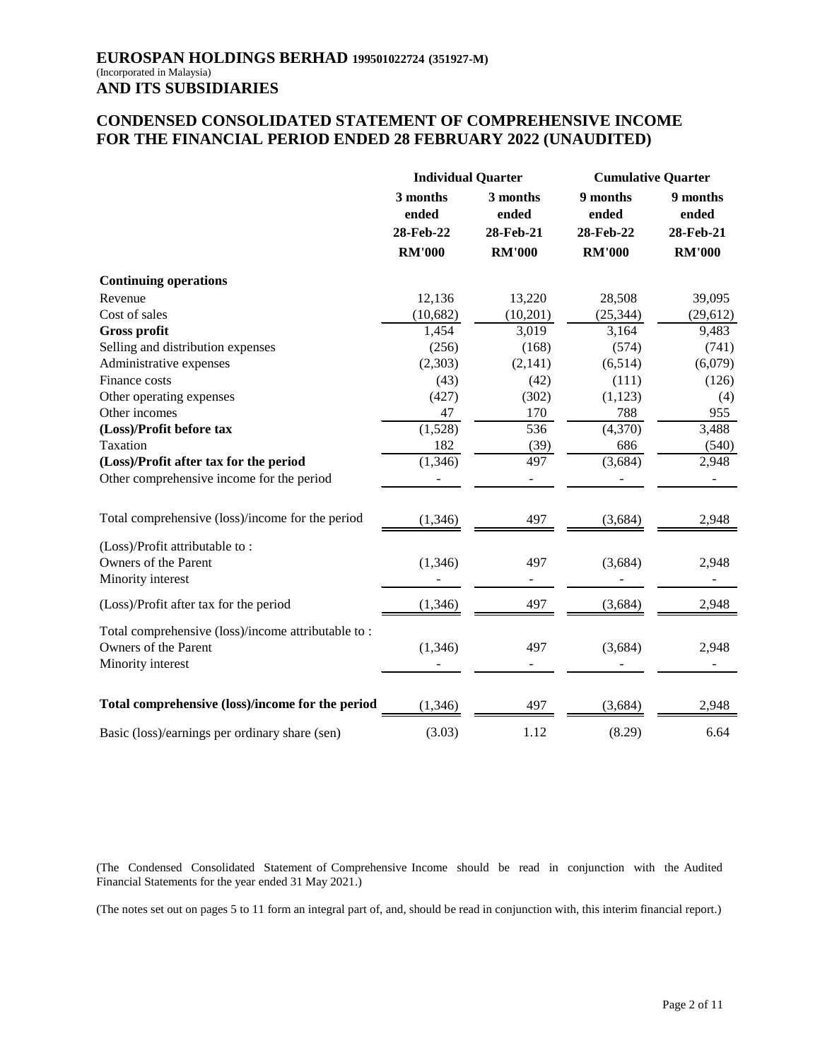# **CONDENSED CONSOLIDATED STATEMENT OF COMPREHENSIVE INCOME FOR THE FINANCIAL PERIOD ENDED 28 FEBRUARY 2022 (UNAUDITED)**

|                                                                                                 | <b>Individual Quarter</b> |               | <b>Cumulative Quarter</b> |                   |                   |
|-------------------------------------------------------------------------------------------------|---------------------------|---------------|---------------------------|-------------------|-------------------|
|                                                                                                 | 3 months<br>ended         |               | 3 months<br>ended         | 9 months<br>ended | 9 months<br>ended |
|                                                                                                 | 28-Feb-22                 | 28-Feb-21     | 28-Feb-22                 | 28-Feb-21         |                   |
|                                                                                                 | <b>RM'000</b>             | <b>RM'000</b> | <b>RM'000</b>             | <b>RM'000</b>     |                   |
| <b>Continuing operations</b>                                                                    |                           |               |                           |                   |                   |
| Revenue                                                                                         | 12,136                    | 13,220        | 28,508                    | 39,095            |                   |
| Cost of sales                                                                                   | (10, 682)                 | (10,201)      | (25, 344)                 | (29, 612)         |                   |
| <b>Gross profit</b>                                                                             | 1,454                     | 3,019         | 3,164                     | 9,483             |                   |
| Selling and distribution expenses                                                               | (256)                     | (168)         | (574)                     | (741)             |                   |
| Administrative expenses                                                                         | (2,303)                   | (2, 141)      | (6,514)                   | (6,079)           |                   |
| Finance costs                                                                                   | (43)                      | (42)          | (111)                     | (126)             |                   |
| Other operating expenses                                                                        | (427)                     | (302)         | (1, 123)                  | (4)               |                   |
| Other incomes                                                                                   | 47                        | 170           | 788                       | 955               |                   |
| (Loss)/Profit before tax                                                                        | (1,528)                   | 536           | (4,370)                   | 3,488             |                   |
| Taxation                                                                                        | 182                       | (39)          | 686                       | (540)             |                   |
| (Loss)/Profit after tax for the period                                                          | (1,346)                   | 497           | (3,684)                   | 2,948             |                   |
| Other comprehensive income for the period                                                       |                           |               |                           |                   |                   |
| Total comprehensive (loss)/income for the period                                                | (1, 346)                  | 497           | (3,684)                   | 2,948             |                   |
| (Loss)/Profit attributable to:                                                                  |                           |               |                           |                   |                   |
| Owners of the Parent                                                                            | (1,346)                   | 497           | (3,684)                   | 2,948             |                   |
| Minority interest                                                                               |                           |               |                           |                   |                   |
| (Loss)/Profit after tax for the period                                                          | (1, 346)                  | 497           | (3,684)                   | 2,948             |                   |
| Total comprehensive (loss)/income attributable to:<br>Owners of the Parent<br>Minority interest | (1, 346)                  | 497           | (3,684)                   | 2,948             |                   |
| Total comprehensive (loss)/income for the period                                                | (1, 346)                  | 497           | (3,684)                   | 2,948             |                   |
|                                                                                                 |                           |               |                           |                   |                   |
| Basic (loss)/earnings per ordinary share (sen)                                                  | (3.03)                    | 1.12          | (8.29)                    | 6.64              |                   |

(The Condensed Consolidated Statement of Comprehensive Income should be read in conjunction with the Audited Financial Statements for the year ended 31 May 2021.)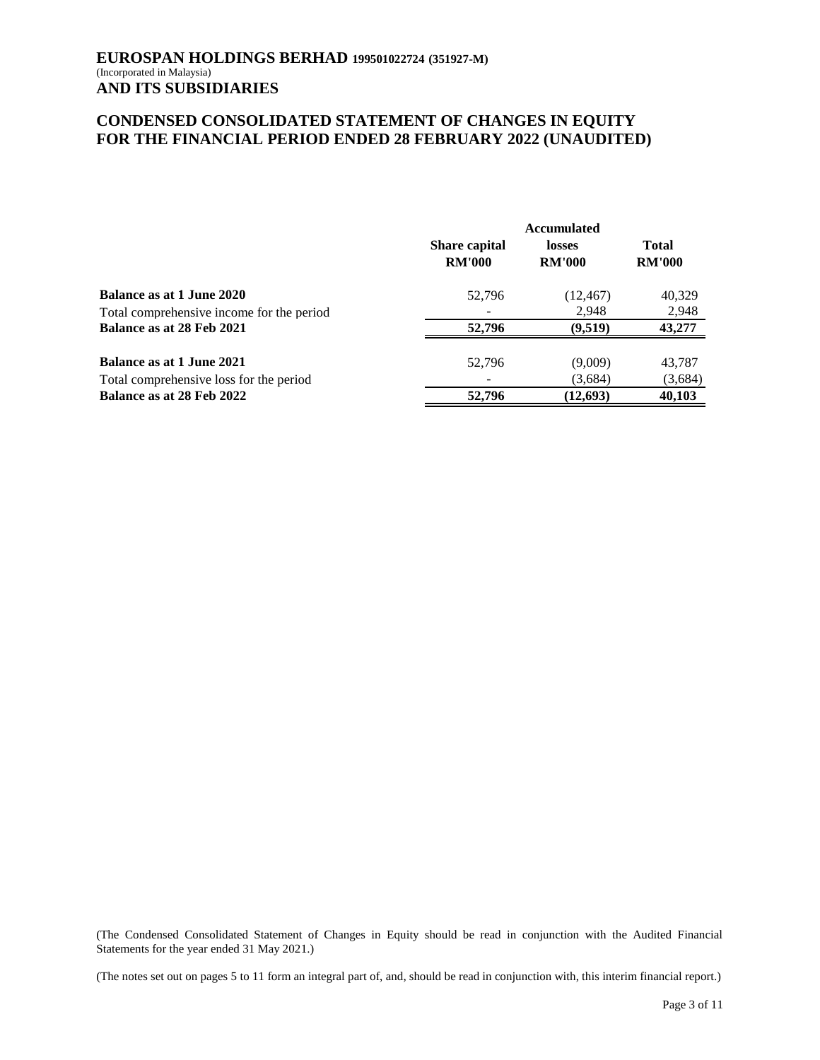# **CONDENSED CONSOLIDATED STATEMENT OF CHANGES IN EQUITY FOR THE FINANCIAL PERIOD ENDED 28 FEBRUARY 2022 (UNAUDITED)**

|                                           | <b>Accumulated</b>                    |                         |                               |  |
|-------------------------------------------|---------------------------------------|-------------------------|-------------------------------|--|
|                                           | <b>Share capital</b><br><b>RM'000</b> | losses<br><b>RM'000</b> | <b>Total</b><br><b>RM'000</b> |  |
| Balance as at 1 June 2020                 | 52.796                                | (12, 467)               | 40,329                        |  |
| Total comprehensive income for the period |                                       | 2.948                   | 2,948                         |  |
| Balance as at 28 Feb 2021                 | 52,796                                | (9.519)                 | 43,277                        |  |
| <b>Balance as at 1 June 2021</b>          | 52,796                                | (9,009)                 | 43,787                        |  |
| Total comprehensive loss for the period   |                                       | (3,684)                 | (3,684)                       |  |
| Balance as at 28 Feb 2022                 | 52,796                                | (12, 693)               | 40,103                        |  |

(The Condensed Consolidated Statement of Changes in Equity should be read in conjunction with the Audited Financial Statements for the year ended 31 May 2021.)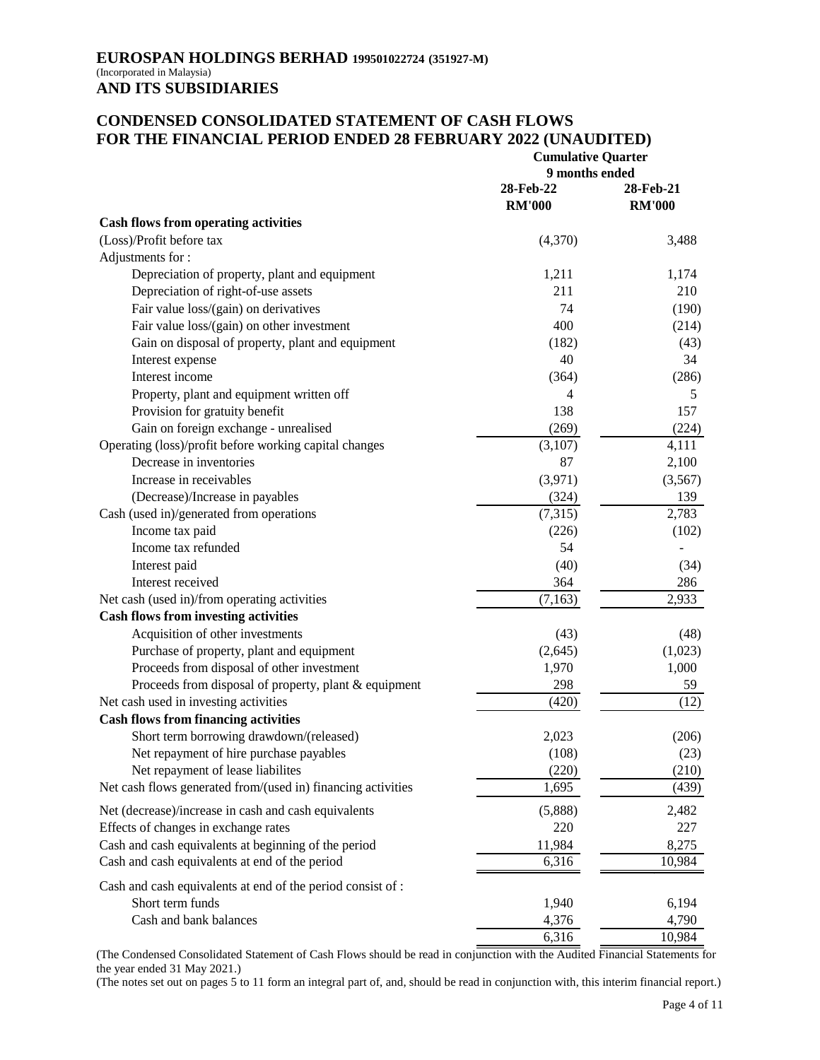# **CONDENSED CONSOLIDATED STATEMENT OF CASH FLOWS FOR THE FINANCIAL PERIOD ENDED 28 FEBRUARY 2022 (UNAUDITED)**

|                                                              | <b>Cumulative Quarter</b>   |               |  |
|--------------------------------------------------------------|-----------------------------|---------------|--|
|                                                              | 9 months ended<br>28-Feb-22 |               |  |
|                                                              |                             | 28-Feb-21     |  |
|                                                              | <b>RM'000</b>               | <b>RM'000</b> |  |
| <b>Cash flows from operating activities</b>                  |                             |               |  |
| (Loss)/Profit before tax                                     | (4,370)                     | 3,488         |  |
| Adjustments for:                                             |                             |               |  |
| Depreciation of property, plant and equipment                | 1,211                       | 1,174         |  |
| Depreciation of right-of-use assets                          | 211                         | 210           |  |
| Fair value loss/(gain) on derivatives                        | 74                          | (190)         |  |
| Fair value loss/(gain) on other investment                   | 400                         | (214)         |  |
| Gain on disposal of property, plant and equipment            | (182)                       | (43)          |  |
| Interest expense                                             | 40                          | 34            |  |
| Interest income                                              | (364)                       | (286)         |  |
| Property, plant and equipment written off                    | 4                           | 5             |  |
| Provision for gratuity benefit                               | 138                         | 157           |  |
| Gain on foreign exchange - unrealised                        | (269)                       | (224)         |  |
| Operating (loss)/profit before working capital changes       | (3,107)                     | 4,111         |  |
| Decrease in inventories                                      | 87                          | 2,100         |  |
| Increase in receivables                                      | (3,971)                     | (3,567)       |  |
| (Decrease)/Increase in payables                              | (324)                       | 139           |  |
| Cash (used in)/generated from operations                     | (7,315)                     | 2,783         |  |
| Income tax paid                                              | (226)                       | (102)         |  |
| Income tax refunded                                          | 54                          |               |  |
| Interest paid                                                | (40)                        | (34)          |  |
| Interest received                                            | 364                         | 286           |  |
| Net cash (used in)/from operating activities                 | (7,163)                     | 2,933         |  |
| <b>Cash flows from investing activities</b>                  |                             |               |  |
| Acquisition of other investments                             | (43)                        | (48)          |  |
| Purchase of property, plant and equipment                    | (2,645)                     | (1,023)       |  |
| Proceeds from disposal of other investment                   | 1,970                       | 1,000         |  |
| Proceeds from disposal of property, plant & equipment        | 298                         | 59            |  |
| Net cash used in investing activities                        | (420)                       | (12)          |  |
| <b>Cash flows from financing activities</b>                  |                             |               |  |
| Short term borrowing drawdown/(released)                     | 2,023                       | (206)         |  |
| Net repayment of hire purchase payables                      | (108)                       | (23)          |  |
| Net repayment of lease liabilites                            | (220)                       | (210)         |  |
| Net cash flows generated from/(used in) financing activities | 1,695                       | (439)         |  |
| Net (decrease)/increase in cash and cash equivalents         | (5,888)                     | 2,482         |  |
| Effects of changes in exchange rates                         | 220                         | 227           |  |
| Cash and cash equivalents at beginning of the period         | 11,984                      | 8,275         |  |
| Cash and cash equivalents at end of the period               | 6,316                       | 10,984        |  |
|                                                              |                             |               |  |
| Cash and cash equivalents at end of the period consist of :  |                             |               |  |
| Short term funds                                             | 1,940                       | 6,194         |  |
| Cash and bank balances                                       | 4,376                       | 4,790         |  |
|                                                              | 6,316                       | 10,984        |  |

(The Condensed Consolidated Statement of Cash Flows should be read in conjunction with the Audited Financial Statements for the year ended 31 May 2021.)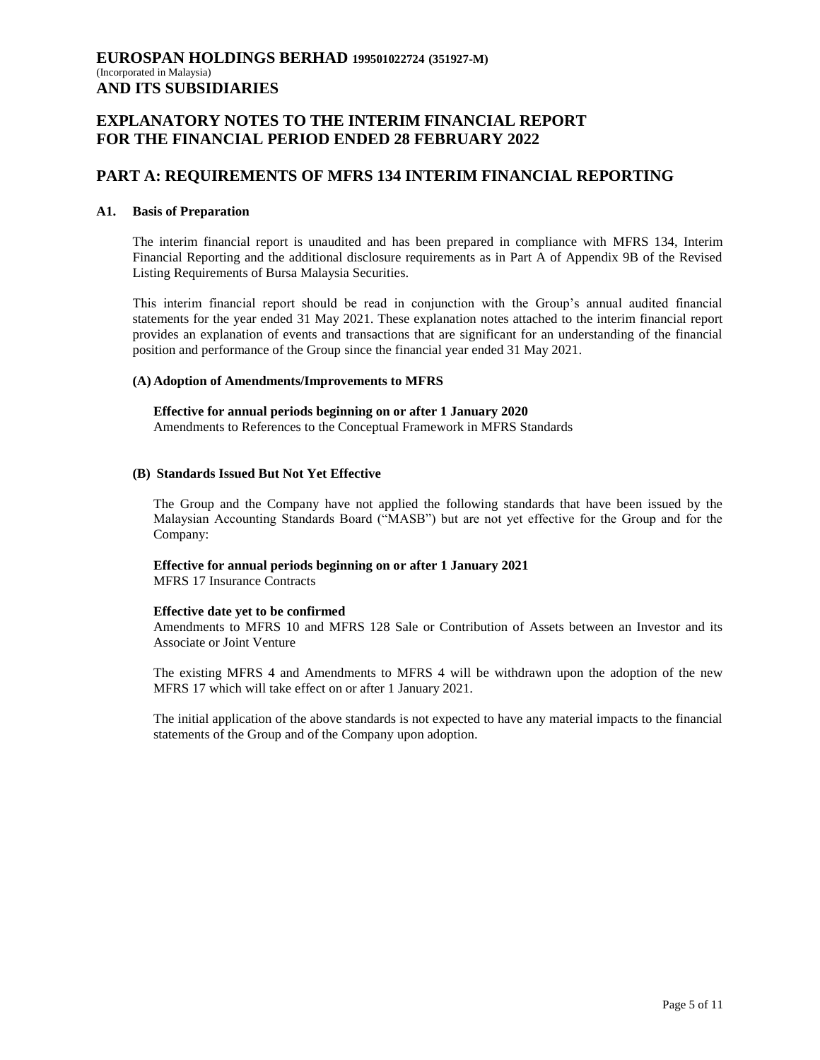# **PART A: REQUIREMENTS OF MFRS 134 INTERIM FINANCIAL REPORTING**

#### **A1. Basis of Preparation**

The interim financial report is unaudited and has been prepared in compliance with MFRS 134, Interim Financial Reporting and the additional disclosure requirements as in Part A of Appendix 9B of the Revised Listing Requirements of Bursa Malaysia Securities.

This interim financial report should be read in conjunction with the Group"s annual audited financial statements for the year ended 31 May 2021. These explanation notes attached to the interim financial report provides an explanation of events and transactions that are significant for an understanding of the financial position and performance of the Group since the financial year ended 31 May 2021.

#### **(A) Adoption of Amendments/Improvements to MFRS**

**Effective for annual periods beginning on or after 1 January 2020**

Amendments to References to the Conceptual Framework in MFRS Standards

#### **(B) Standards Issued But Not Yet Effective**

The Group and the Company have not applied the following standards that have been issued by the Malaysian Accounting Standards Board ("MASB") but are not yet effective for the Group and for the Company:

### **Effective for annual periods beginning on or after 1 January 2021**

MFRS 17 Insurance Contracts

### **Effective date yet to be confirmed**

Amendments to MFRS 10 and MFRS 128 Sale or Contribution of Assets between an Investor and its Associate or Joint Venture

The existing MFRS 4 and Amendments to MFRS 4 will be withdrawn upon the adoption of the new MFRS 17 which will take effect on or after 1 January 2021.

The initial application of the above standards is not expected to have any material impacts to the financial statements of the Group and of the Company upon adoption.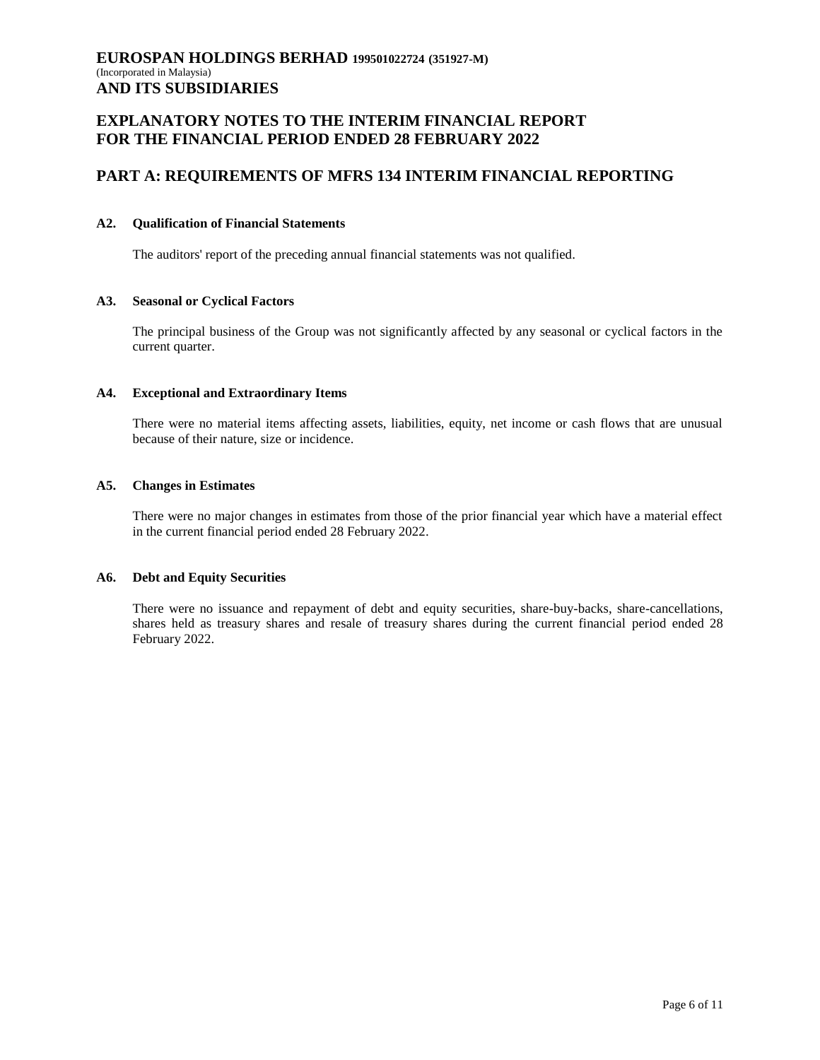# **PART A: REQUIREMENTS OF MFRS 134 INTERIM FINANCIAL REPORTING**

### **A2. Qualification of Financial Statements**

The auditors' report of the preceding annual financial statements was not qualified.

### **A3. Seasonal or Cyclical Factors**

The principal business of the Group was not significantly affected by any seasonal or cyclical factors in the current quarter.

#### **A4. Exceptional and Extraordinary Items**

There were no material items affecting assets, liabilities, equity, net income or cash flows that are unusual because of their nature, size or incidence.

#### **A5. Changes in Estimates**

There were no major changes in estimates from those of the prior financial year which have a material effect in the current financial period ended 28 February 2022.

#### **A6. Debt and Equity Securities**

There were no issuance and repayment of debt and equity securities, share-buy-backs, share-cancellations, shares held as treasury shares and resale of treasury shares during the current financial period ended 28 February 2022.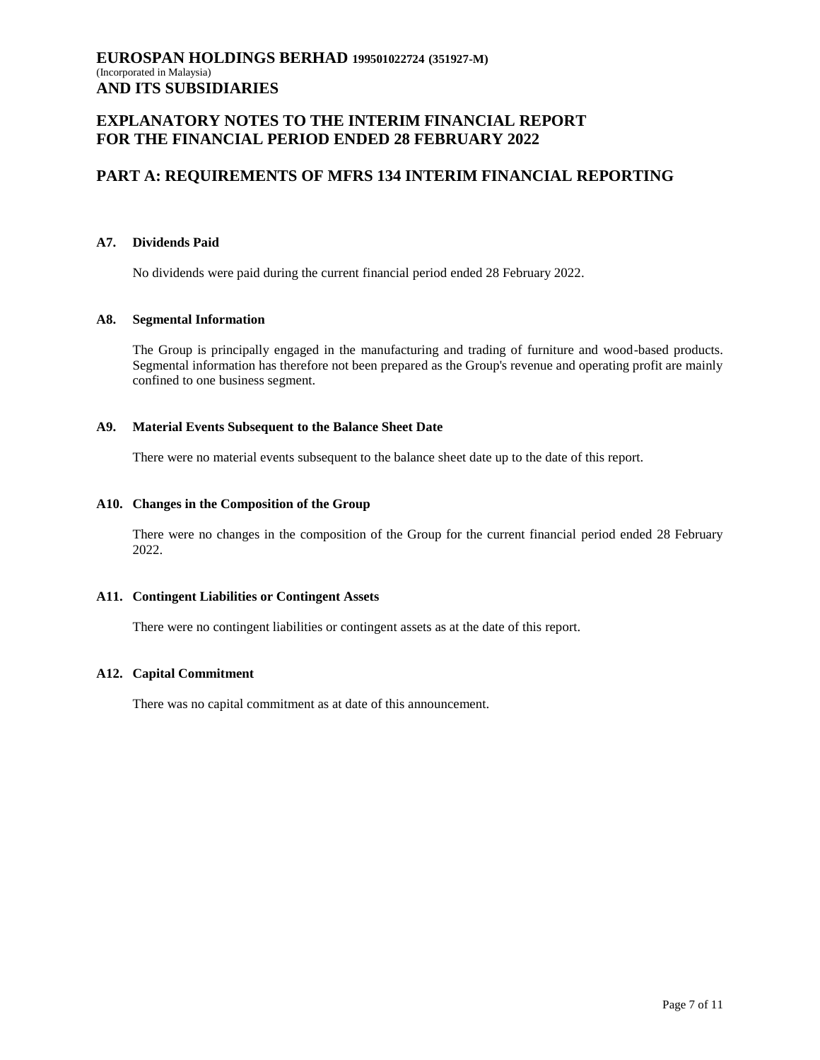# **PART A: REQUIREMENTS OF MFRS 134 INTERIM FINANCIAL REPORTING**

### **A7. Dividends Paid**

No dividends were paid during the current financial period ended 28 February 2022.

#### **A8. Segmental Information**

The Group is principally engaged in the manufacturing and trading of furniture and wood-based products. Segmental information has therefore not been prepared as the Group's revenue and operating profit are mainly confined to one business segment.

### **A9. Material Events Subsequent to the Balance Sheet Date**

There were no material events subsequent to the balance sheet date up to the date of this report.

#### **A10. Changes in the Composition of the Group**

There were no changes in the composition of the Group for the current financial period ended 28 February 2022.

### **A11. Contingent Liabilities or Contingent Assets**

There were no contingent liabilities or contingent assets as at the date of this report.

# **A12. Capital Commitment**

There was no capital commitment as at date of this announcement.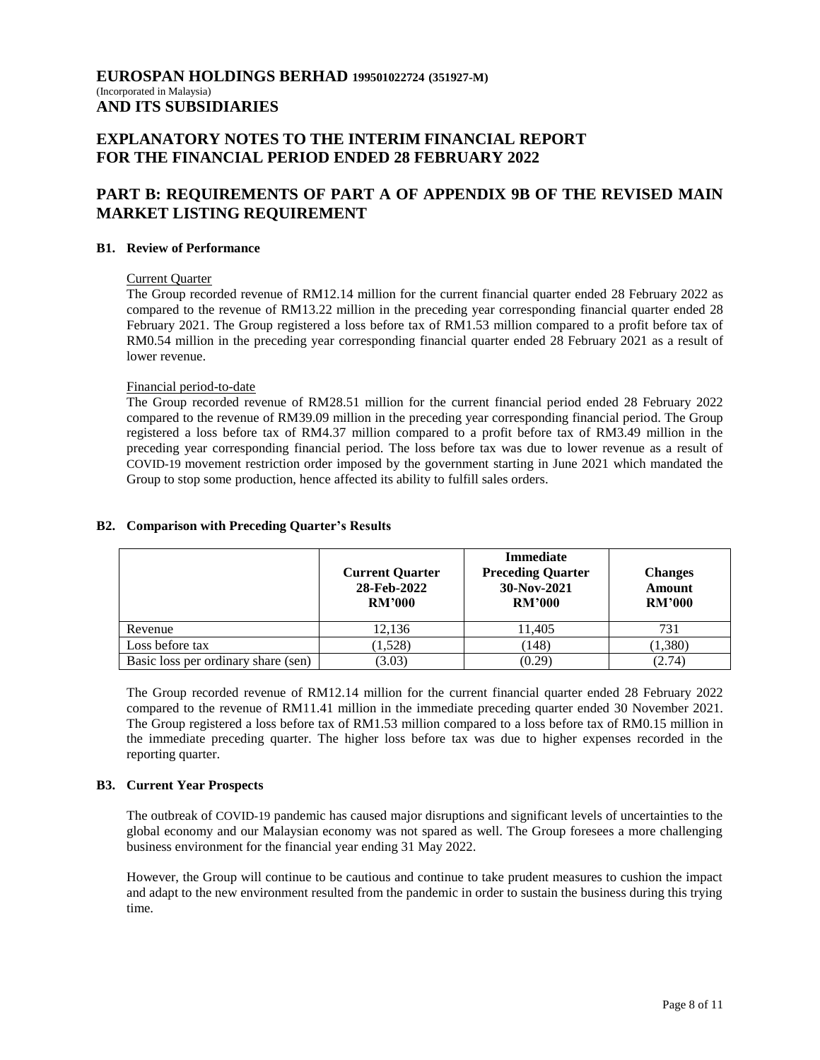# **EXPLANATORY NOTES TO THE INTERIM FINANCIAL REPORT FOR THE FINANCIAL PERIOD ENDED 28 FEBRUARY 2022**

# **PART B: REQUIREMENTS OF PART A OF APPENDIX 9B OF THE REVISED MAIN MARKET LISTING REQUIREMENT**

### **B1. Review of Performance**

#### Current Quarter

The Group recorded revenue of RM12.14 million for the current financial quarter ended 28 February 2022 as compared to the revenue of RM13.22 million in the preceding year corresponding financial quarter ended 28 February 2021. The Group registered a loss before tax of RM1.53 million compared to a profit before tax of RM0.54 million in the preceding year corresponding financial quarter ended 28 February 2021 as a result of lower revenue.

#### Financial period-to-date

The Group recorded revenue of RM28.51 million for the current financial period ended 28 February 2022 compared to the revenue of RM39.09 million in the preceding year corresponding financial period. The Group registered a loss before tax of RM4.37 million compared to a profit before tax of RM3.49 million in the preceding year corresponding financial period. The loss before tax was due to lower revenue as a result of COVID-19 movement restriction order imposed by the government starting in June 2021 which mandated the Group to stop some production, hence affected its ability to fulfill sales orders.

#### **Current Quarter 28-Feb-2022 RM'000 Immediate Preceding Quarter 30-Nov-2021 RM'000 Changes Amount RM'000** Revenue 12,136 11,405 731 Loss before tax  $(1,528)$   $(148)$   $(1,380)$ Basic loss per ordinary share (sen)  $(3.03)$   $(0.29)$   $(2.74)$

### **B2. Comparison with Preceding Quarter's Results**

The Group recorded revenue of RM12.14 million for the current financial quarter ended 28 February 2022 compared to the revenue of RM11.41 million in the immediate preceding quarter ended 30 November 2021. The Group registered a loss before tax of RM1.53 million compared to a loss before tax of RM0.15 million in the immediate preceding quarter. The higher loss before tax was due to higher expenses recorded in the reporting quarter.

# **B3. Current Year Prospects**

The outbreak of COVID-19 pandemic has caused major disruptions and significant levels of uncertainties to the global economy and our Malaysian economy was not spared as well. The Group foresees a more challenging business environment for the financial year ending 31 May 2022.

However, the Group will continue to be cautious and continue to take prudent measures to cushion the impact and adapt to the new environment resulted from the pandemic in order to sustain the business during this trying time.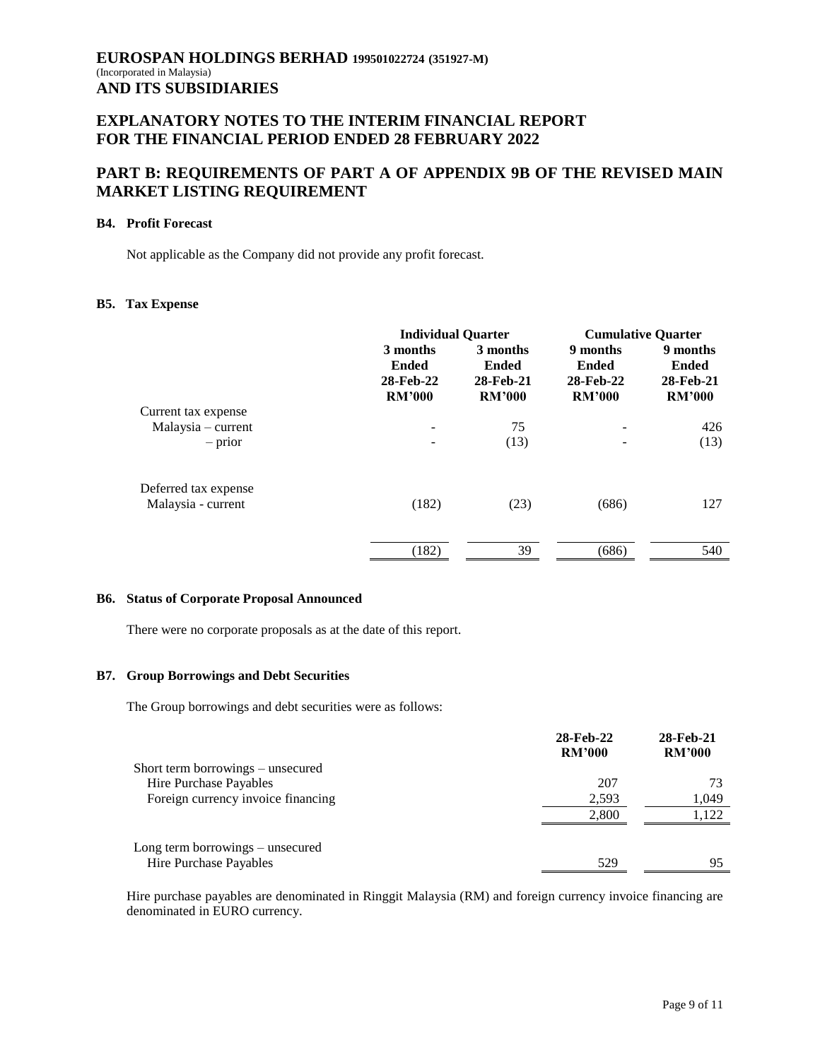# **PART B: REQUIREMENTS OF PART A OF APPENDIX 9B OF THE REVISED MAIN MARKET LISTING REQUIREMENT**

#### **B4. Profit Forecast**

Not applicable as the Company did not provide any profit forecast.

### **B5. Tax Expense**

|                      | <b>Individual Quarter</b>                              |                                                        | <b>Cumulative Quarter</b>                              |                                                        |
|----------------------|--------------------------------------------------------|--------------------------------------------------------|--------------------------------------------------------|--------------------------------------------------------|
|                      | 3 months<br><b>Ended</b><br>28-Feb-22<br><b>RM'000</b> | 3 months<br><b>Ended</b><br>28-Feb-21<br><b>RM'000</b> | 9 months<br><b>Ended</b><br>28-Feb-22<br><b>RM'000</b> | 9 months<br><b>Ended</b><br>28-Feb-21<br><b>RM'000</b> |
| Current tax expense  |                                                        |                                                        |                                                        |                                                        |
| $Malaysia$ – current |                                                        | 75                                                     |                                                        | 426                                                    |
| $-$ prior            |                                                        | (13)                                                   |                                                        | (13)                                                   |
| Deferred tax expense |                                                        |                                                        |                                                        |                                                        |
| Malaysia - current   | (182)                                                  | (23)                                                   | (686)                                                  | 127                                                    |
|                      |                                                        |                                                        |                                                        |                                                        |
|                      | (182)                                                  | 39                                                     | (686)                                                  | 540                                                    |

#### **B6. Status of Corporate Proposal Announced**

There were no corporate proposals as at the date of this report.

#### **B7. Group Borrowings and Debt Securities**

The Group borrowings and debt securities were as follows:

|                                    | 28-Feb-22<br><b>RM'000</b> | 28-Feb-21<br><b>RM'000</b> |
|------------------------------------|----------------------------|----------------------------|
| Short term borrowings – unsecured  |                            |                            |
| Hire Purchase Payables             | 207                        |                            |
| Foreign currency invoice financing | 2,593                      | 1,049                      |
|                                    | 2.800                      | 1,122                      |
| Long term borrowings – unsecured   |                            |                            |
| Hire Purchase Payables             | 529                        | 95                         |

Hire purchase payables are denominated in Ringgit Malaysia (RM) and foreign currency invoice financing are denominated in EURO currency.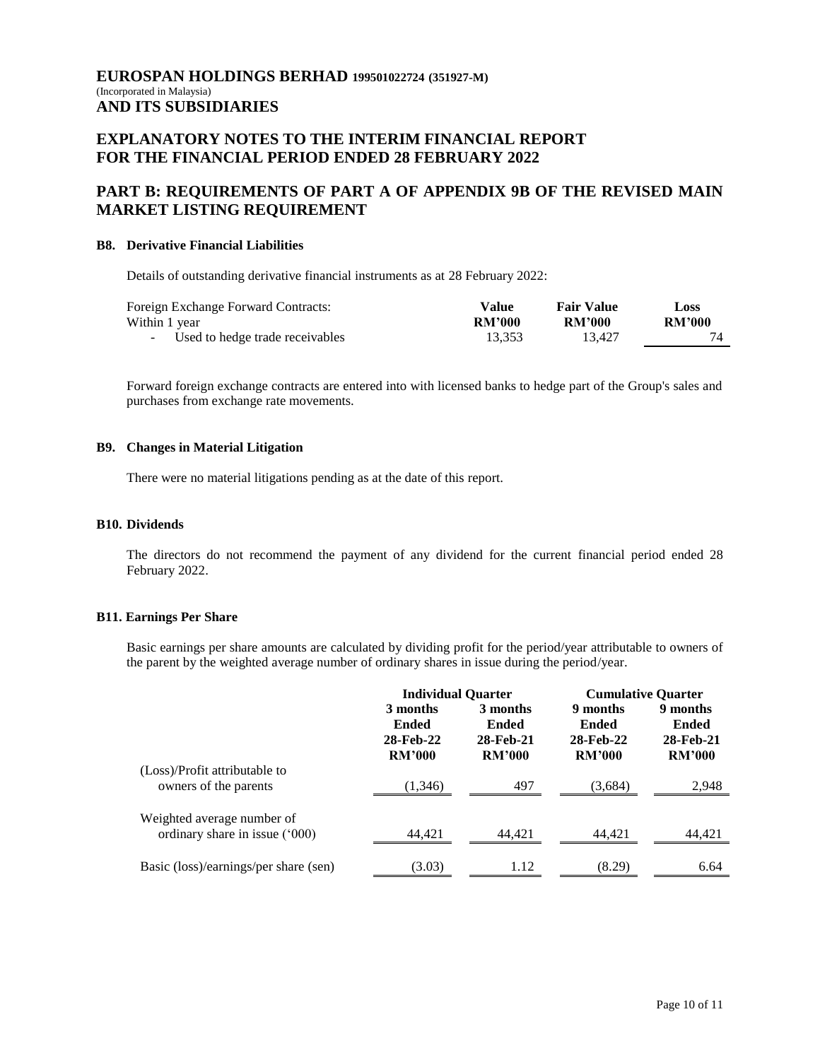# **EXPLANATORY NOTES TO THE INTERIM FINANCIAL REPORT FOR THE FINANCIAL PERIOD ENDED 28 FEBRUARY 2022**

# **PART B: REQUIREMENTS OF PART A OF APPENDIX 9B OF THE REVISED MAIN MARKET LISTING REQUIREMENT**

#### **B8. Derivative Financial Liabilities**

Details of outstanding derivative financial instruments as at 28 February 2022:

| Foreign Exchange Forward Contracts: | Value         | <b>Fair Value</b> | Loss          |
|-------------------------------------|---------------|-------------------|---------------|
| Within 1 year                       | <b>RM'000</b> | <b>RM'000</b>     | <b>RM'000</b> |
| - Used to hedge trade receivables   | 13.353        | 13.427            |               |

Forward foreign exchange contracts are entered into with licensed banks to hedge part of the Group's sales and purchases from exchange rate movements.

#### **B9. Changes in Material Litigation**

There were no material litigations pending as at the date of this report.

### **B10. Dividends**

The directors do not recommend the payment of any dividend for the current financial period ended 28 February 2022.

#### **B11. Earnings Per Share**

Basic earnings per share amounts are calculated by dividing profit for the period/year attributable to owners of the parent by the weighted average number of ordinary shares in issue during the period/year.

|                                                              | <b>Individual Quarter</b>                              |                                                        | <b>Cumulative Quarter</b>                              |                                                        |
|--------------------------------------------------------------|--------------------------------------------------------|--------------------------------------------------------|--------------------------------------------------------|--------------------------------------------------------|
|                                                              | 3 months<br><b>Ended</b><br>28-Feb-22<br><b>RM'000</b> | 3 months<br><b>Ended</b><br>28-Feb-21<br><b>RM'000</b> | 9 months<br><b>Ended</b><br>28-Feb-22<br><b>RM'000</b> | 9 months<br><b>Ended</b><br>28-Feb-21<br><b>RM'000</b> |
| (Loss)/Profit attributable to<br>owners of the parents       | (1,346)                                                | 497                                                    | (3,684)                                                | 2,948                                                  |
| Weighted average number of<br>ordinary share in issue ('000) | 44,421                                                 | 44.421                                                 | 44,421                                                 | 44,421                                                 |
| Basic (loss)/earnings/per share (sen)                        | (3.03)                                                 | 1.12                                                   | (8.29)                                                 | 6.64                                                   |